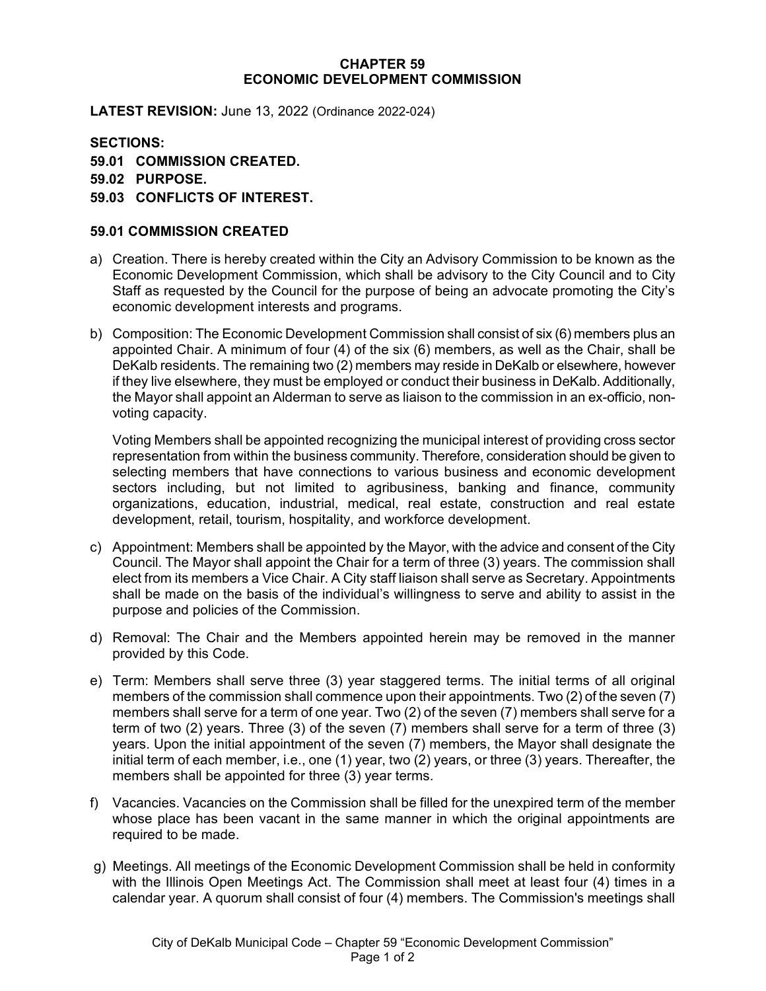## **CHAPTER 59 ECONOMIC DEVELOPMENT COMMISSION**

**LATEST REVISION:** June 13, 2022 (Ordinance 2022-024)

**SECTIONS: 59.01 COMMISSION CREATED. 59.02 PURPOSE. 59.03 CONFLICTS OF INTEREST.**

## **59.01 COMMISSION CREATED**

- a) Creation. There is hereby created within the City an Advisory Commission to be known as the Economic Development Commission, which shall be advisory to the City Council and to City Staff as requested by the Council for the purpose of being an advocate promoting the City's economic development interests and programs.
- b) Composition: The Economic Development Commission shall consist of six (6) members plus an appointed Chair. A minimum of four (4) of the six (6) members, as well as the Chair, shall be DeKalb residents. The remaining two (2) members may reside in DeKalb or elsewhere, however if they live elsewhere, they must be employed or conduct their business in DeKalb. Additionally, the Mayor shall appoint an Alderman to serve as liaison to the commission in an ex-officio, nonvoting capacity.

Voting Members shall be appointed recognizing the municipal interest of providing cross sector representation from within the business community. Therefore, consideration should be given to selecting members that have connections to various business and economic development sectors including, but not limited to agribusiness, banking and finance, community organizations, education, industrial, medical, real estate, construction and real estate development, retail, tourism, hospitality, and workforce development.

- c) Appointment: Members shall be appointed by the Mayor, with the advice and consent of the City Council. The Mayor shall appoint the Chair for a term of three (3) years. The commission shall elect from its members a Vice Chair. A City staff liaison shall serve as Secretary. Appointments shall be made on the basis of the individual's willingness to serve and ability to assist in the purpose and policies of the Commission.
- d) Removal: The Chair and the Members appointed herein may be removed in the manner provided by this Code.
- e) Term: Members shall serve three (3) year staggered terms. The initial terms of all original members of the commission shall commence upon their appointments. Two (2) of the seven (7) members shall serve for a term of one year. Two (2) of the seven (7) members shall serve for a term of two (2) years. Three (3) of the seven (7) members shall serve for a term of three (3) years. Upon the initial appointment of the seven (7) members, the Mayor shall designate the initial term of each member, i.e., one (1) year, two (2) years, or three (3) years. Thereafter, the members shall be appointed for three (3) year terms.
- f) Vacancies. Vacancies on the Commission shall be filled for the unexpired term of the member whose place has been vacant in the same manner in which the original appointments are required to be made.
- g) Meetings. All meetings of the Economic Development Commission shall be held in conformity with the Illinois Open Meetings Act. The Commission shall meet at least four (4) times in a calendar year. A quorum shall consist of four (4) members. The Commission's meetings shall